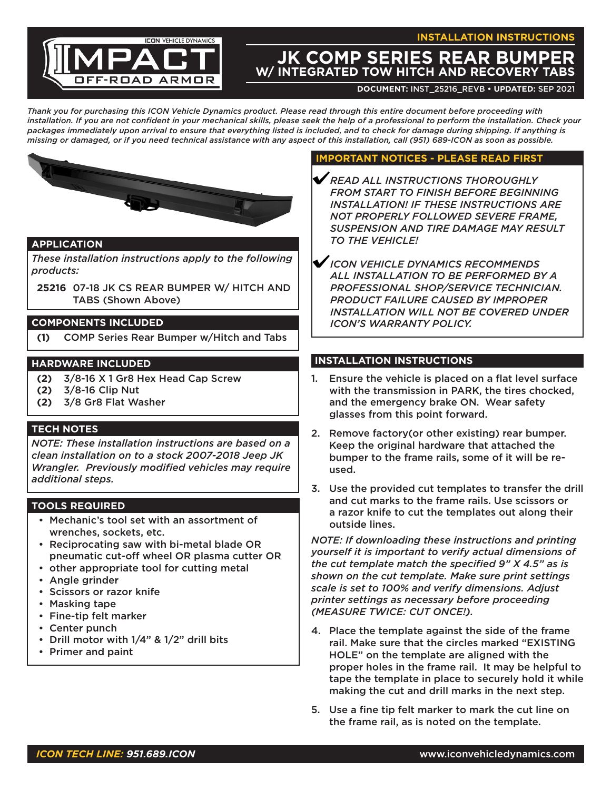**INSTALLATION INSTRUCTIONS**



# **JK COMP SERIES REAR BUMPER W/ INTEGRATED TOW HITCH AND RECOVERY TABS**

**DOCUMENT:** INST\_25216\_REVB **• UPDATED:** Sep 2021

*Thank you for purchasing this ICON Vehicle Dynamics product. Please read through this entire document before proceeding with installation. If you are not confident in your mechanical skills, please seek the help of a professional to perform the installation. Check your packages immediately upon arrival to ensure that everything listed is included, and to check for damage during shipping. If anything is missing or damaged, or if you need technical assistance with any aspect of this installation, call (951) 689-ICON as soon as possible.*



## **APPLICATION**

*These installation instructions apply to the following products:*

**25216** 07-18 JK CS REAR BUMPER W/ HITCH AND TABS (Shown Above)

#### **COMPONENTS INCLUDED**

**(1)** COMP Series Rear Bumper w/Hitch and Tabs

## **HARDWARE INCLUDED**

- **(2)** 3/8-16 X 1 Gr8 Hex Head Cap Screw
- **(2)** 3/8-16 Clip Nut
- **(2)** 3/8 Gr8 Flat Washer

## **TECH NOTES**

*NOTE: These installation instructions are based on a clean installation on to a stock 2007-2018 Jeep JK Wrangler. Previously modified vehicles may require additional steps.*

## **TOOLS REQUIRED**

- Mechanic's tool set with an assortment of wrenches, sockets, etc.
- Reciprocating saw with bi-metal blade OR pneumatic cut-off wheel OR plasma cutter OR
- other appropriate tool for cutting metal
- Angle grinder
- Scissors or razor knife
- Masking tape
- Fine-tip felt marker
- Center punch
- Drill motor with 1/4" & 1/2" drill bits
- Primer and paint

#### **IMPORTANT NOTICES - PLEASE READ FIRST**

- *READ ALL INSTRUCTIONS THOROUGHLY FROM START TO FINISH BEFORE BEGINNING INSTALLATION! IF THESE INSTRUCTIONS ARE NOT PROPERLY FOLLOWED SEVERE FRAME, SUSPENSION AND TIRE DAMAGE MAY RESULT TO THE VEHICLE!*
- *ICON VEHICLE DYNAMICS RECOMMENDS ALL INSTALLATION TO BE PERFORMED BY A PROFESSIONAL SHOP/SERVICE TECHNICIAN. PRODUCT FAILURE CAUSED BY IMPROPER INSTALLATION WILL NOT BE COVERED UNDER ICON'S WARRANTY POLICY.*

## **INSTALLATION INSTRUCTIONS**

- 1. Ensure the vehicle is placed on a flat level surface with the transmission in PARK, the tires chocked, and the emergency brake ON. Wear safety glasses from this point forward.
- 2. Remove factory(or other existing) rear bumper. Keep the original hardware that attached the bumper to the frame rails, some of it will be reused.
- 3. Use the provided cut templates to transfer the drill and cut marks to the frame rails. Use scissors or a razor knife to cut the templates out along their outside lines.

*NOTE: If downloading these instructions and printing yourself it is important to verify actual dimensions of the cut template match the specified 9" X 4.5" as is shown on the cut template. Make sure print settings scale is set to 100% and verify dimensions. Adjust printer settings as necessary before proceeding (MEASURE TWICE: CUT ONCE!).*

- 4. Place the template against the side of the frame rail. Make sure that the circles marked "EXISTING HOLE" on the template are aligned with the proper holes in the frame rail. It may be helpful to tape the template in place to securely hold it while making the cut and drill marks in the next step.
- 5. Use a fine tip felt marker to mark the cut line on the frame rail, as is noted on the template.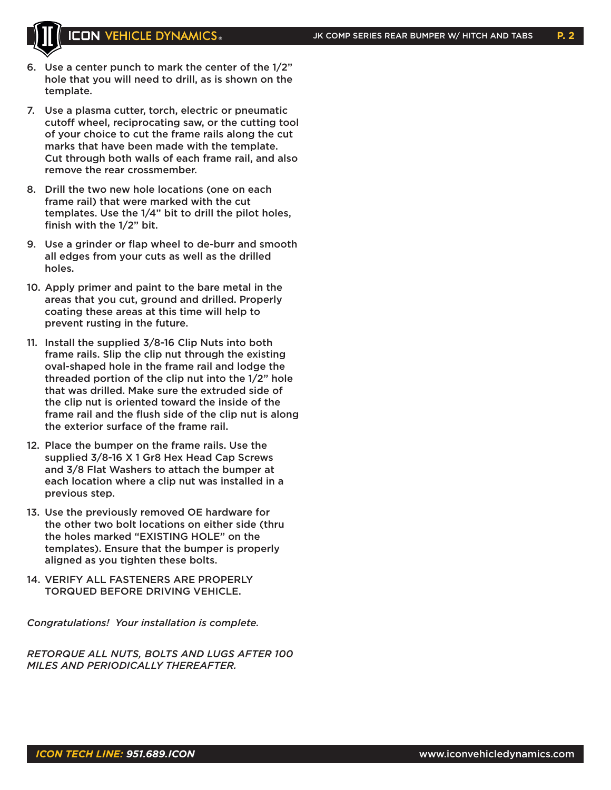

- 6. Use a center punch to mark the center of the 1/2" hole that you will need to drill, as is shown on the template.
- 7. Use a plasma cutter, torch, electric or pneumatic cutoff wheel, reciprocating saw, or the cutting tool of your choice to cut the frame rails along the cut marks that have been made with the template. Cut through both walls of each frame rail, and also remove the rear crossmember.
- 8. Drill the two new hole locations (one on each frame rail) that were marked with the cut templates. Use the 1/4" bit to drill the pilot holes, finish with the 1/2" bit.
- 9. Use a grinder or flap wheel to de-burr and smooth all edges from your cuts as well as the drilled holes.
- 10. Apply primer and paint to the bare metal in the areas that you cut, ground and drilled. Properly coating these areas at this time will help to prevent rusting in the future.
- 11. Install the supplied 3/8-16 Clip Nuts into both frame rails. Slip the clip nut through the existing oval-shaped hole in the frame rail and lodge the threaded portion of the clip nut into the 1/2" hole that was drilled. Make sure the extruded side of the clip nut is oriented toward the inside of the frame rail and the flush side of the clip nut is along the exterior surface of the frame rail.
- 12. Place the bumper on the frame rails. Use the supplied 3/8-16 X 1 Gr8 Hex Head Cap Screws and 3/8 Flat Washers to attach the bumper at each location where a clip nut was installed in a previous step.
- 13. Use the previously removed OE hardware for the other two bolt locations on either side (thru the holes marked "EXISTING HOLE" on the templates). Ensure that the bumper is properly aligned as you tighten these bolts.
- 14. VERIFY ALL FASTENERS ARE PRO PERLY TORQUED BEFORE DRIVING VEHICLE.

*Congratulations! Your installation is complete.*

*RETORQUE ALL NUTS, BOLTS AND LUGS AFTER 100 MILES AND PERIODICALLY THEREAFTER.*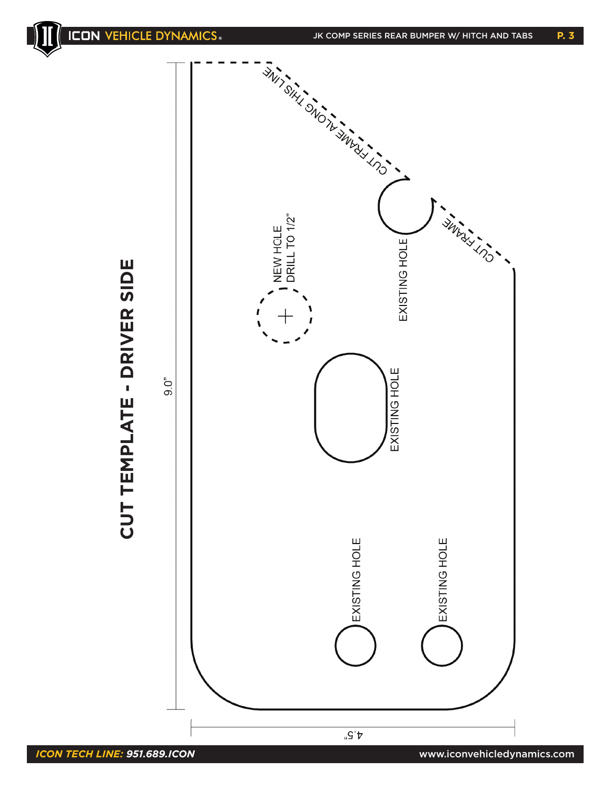



CUT TEMPLATE - DRIVER SIDE **CUT TEMPLATE - DRIVER SIDE**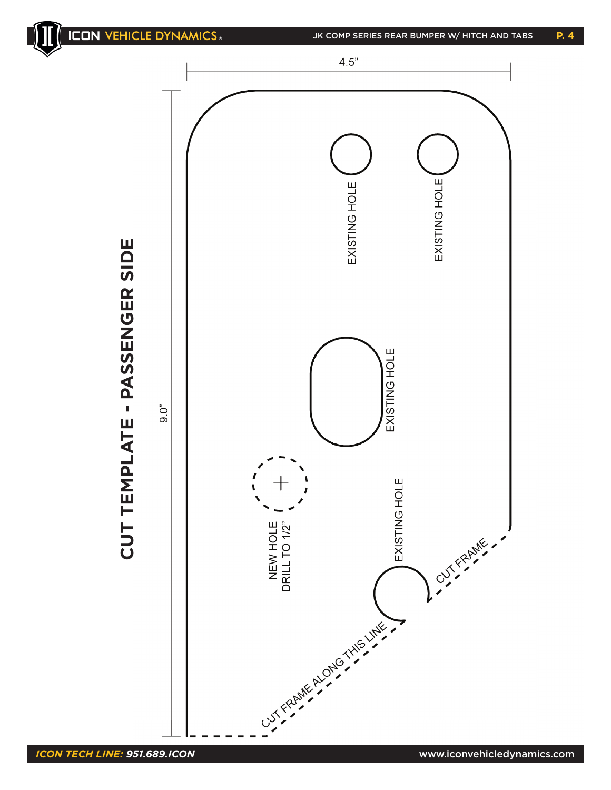